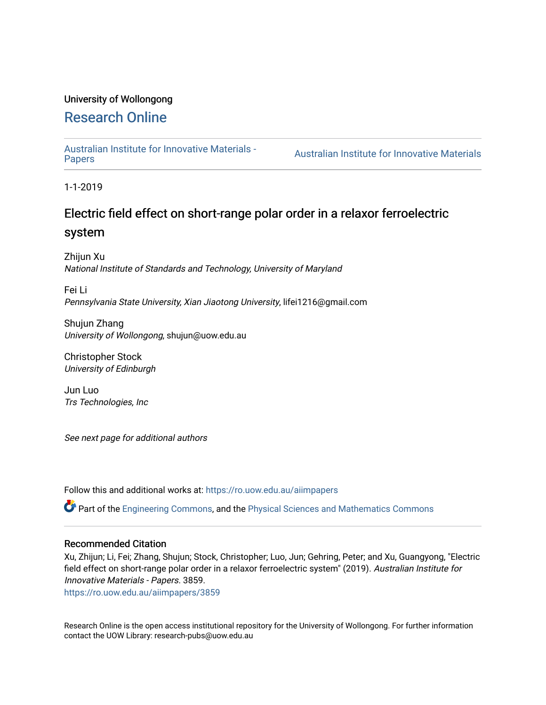### University of Wollongong

# [Research Online](https://ro.uow.edu.au/)

[Australian Institute for Innovative Materials -](https://ro.uow.edu.au/aiimpapers)

Australian Institute for Innovative Materials

1-1-2019

# Electric field effect on short-range polar order in a relaxor ferroelectric system

Zhijun Xu National Institute of Standards and Technology, University of Maryland

Fei Li Pennsylvania State University, Xian Jiaotong University, lifei1216@gmail.com

Shujun Zhang University of Wollongong, shujun@uow.edu.au

Christopher Stock University of Edinburgh

Jun Luo Trs Technologies, Inc

See next page for additional authors

Follow this and additional works at: [https://ro.uow.edu.au/aiimpapers](https://ro.uow.edu.au/aiimpapers?utm_source=ro.uow.edu.au%2Faiimpapers%2F3859&utm_medium=PDF&utm_campaign=PDFCoverPages)

Part of the [Engineering Commons](http://network.bepress.com/hgg/discipline/217?utm_source=ro.uow.edu.au%2Faiimpapers%2F3859&utm_medium=PDF&utm_campaign=PDFCoverPages), and the [Physical Sciences and Mathematics Commons](http://network.bepress.com/hgg/discipline/114?utm_source=ro.uow.edu.au%2Faiimpapers%2F3859&utm_medium=PDF&utm_campaign=PDFCoverPages) 

#### Recommended Citation

Xu, Zhijun; Li, Fei; Zhang, Shujun; Stock, Christopher; Luo, Jun; Gehring, Peter; and Xu, Guangyong, "Electric field effect on short-range polar order in a relaxor ferroelectric system" (2019). Australian Institute for Innovative Materials - Papers. 3859.

[https://ro.uow.edu.au/aiimpapers/3859](https://ro.uow.edu.au/aiimpapers/3859?utm_source=ro.uow.edu.au%2Faiimpapers%2F3859&utm_medium=PDF&utm_campaign=PDFCoverPages) 

Research Online is the open access institutional repository for the University of Wollongong. For further information contact the UOW Library: research-pubs@uow.edu.au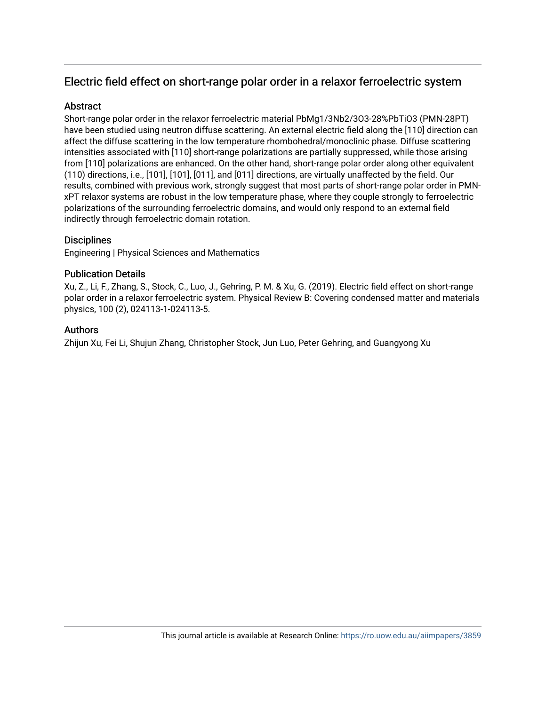## Electric field effect on short-range polar order in a relaxor ferroelectric system

#### **Abstract**

Short-range polar order in the relaxor ferroelectric material PbMg1/3Nb2/3O3-28%PbTiO3 (PMN-28PT) have been studied using neutron diffuse scattering. An external electric field along the [110] direction can affect the diffuse scattering in the low temperature rhombohedral/monoclinic phase. Diffuse scattering intensities associated with [110] short-range polarizations are partially suppressed, while those arising from [110] polarizations are enhanced. On the other hand, short-range polar order along other equivalent (110) directions, i.e., [101], [101], [011], and [011] directions, are virtually unaffected by the field. Our results, combined with previous work, strongly suggest that most parts of short-range polar order in PMNxPT relaxor systems are robust in the low temperature phase, where they couple strongly to ferroelectric polarizations of the surrounding ferroelectric domains, and would only respond to an external field indirectly through ferroelectric domain rotation.

### **Disciplines**

Engineering | Physical Sciences and Mathematics

#### Publication Details

Xu, Z., Li, F., Zhang, S., Stock, C., Luo, J., Gehring, P. M. & Xu, G. (2019). Electric field effect on short-range polar order in a relaxor ferroelectric system. Physical Review B: Covering condensed matter and materials physics, 100 (2), 024113-1-024113-5.

#### **Authors**

Zhijun Xu, Fei Li, Shujun Zhang, Christopher Stock, Jun Luo, Peter Gehring, and Guangyong Xu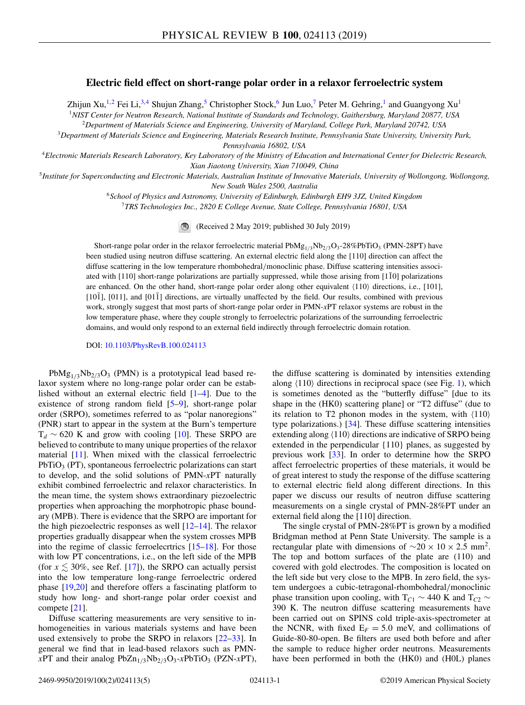#### **Electric field effect on short-range polar order in a relaxor ferroelectric system**

Zhijun Xu,<sup>1,2</sup> Fei Li,<sup>3,4</sup> Shujun Zhang,<sup>5</sup> Christopher Stock,<sup>6</sup> Jun Luo,<sup>7</sup> Peter M. Gehring,<sup>1</sup> and Guangyong Xu<sup>1</sup> <sup>1</sup>*NIST Center for Neutron Research, National Institute of Standards and Technology, Gaithersburg, Maryland 20877, USA*

<sup>2</sup>*Department of Materials Science and Engineering, University of Maryland, College Park, Maryland 20742, USA*

<sup>3</sup>*Department of Materials Science and Engineering, Materials Research Institute, Pennsylvania State University, University Park, Pennsylvania 16802, USA*

<sup>4</sup>*Electronic Materials Research Laboratory, Key Laboratory of the Ministry of Education and International Center for Dielectric Research, Xian Jiaotong University, Xian 710049, China*

<sup>5</sup>*Institute for Superconducting and Electronic Materials, Australian Institute of Innovative Materials, University of Wollongong, Wollongong, New South Wales 2500, Australia*

<sup>6</sup>*School of Physics and Astronomy, University of Edinburgh, Edinburgh EH9 3JZ, United Kingdom*

<sup>7</sup>*TRS Technologies Inc., 2820 E College Avenue, State College, Pennsylvania 16801, USA*

(Received 2 May 2019; published 30 July 2019)

Short-range polar order in the relaxor ferroelectric material  $PbMg_{1/3}Nb_{2/3}O_3-28\%PbTiO_3$  (PMN-28PT) have been studied using neutron diffuse scattering. An external electric field along the [110] direction can affect the diffuse scattering in the low temperature rhombohedral/monoclinic phase. Diffuse scattering intensities associated with  $[110]$  short-range polarizations are partially suppressed, while those arising from  $[1\bar{1}0]$  polarizations are enhanced. On the other hand, short-range polar order along other equivalent  $\langle 110 \rangle$  directions, i.e., [101], [ $10\bar{1}$ ],  $[011]$ , and  $[01\bar{1}]$  directions, are virtually unaffected by the field. Our results, combined with previous work, strongly suggest that most parts of short-range polar order in PMN-*x*PT relaxor systems are robust in the low temperature phase, where they couple strongly to ferroelectric polarizations of the surrounding ferroelectric domains, and would only respond to an external field indirectly through ferroelectric domain rotation.

DOI: [10.1103/PhysRevB.100.024113](https://doi.org/10.1103/PhysRevB.100.024113)

 $PbMg_{1/3}Nb_{2/3}O_3$  (PMN) is a prototypical lead based relaxor system where no long-range polar order can be established without an external electric field [\[1–4\]](#page-5-0). Due to the existence of strong random field [\[5–9\]](#page-5-0), short-range polar order (SRPO), sometimes referred to as "polar nanoregions" (PNR) start to appear in the system at the Burn's temperture  $T_d \sim 620$  K and grow with cooling [\[10\]](#page-5-0). These SRPO are believed to contribute to many unique properties of the relaxor material [\[11\]](#page-5-0). When mixed with the classical ferroelectric  $PbTiO<sub>3</sub>$  (PT), spontaneous ferroelectric polarizations can start to develop, and the solid solutions of PMN-*x*PT naturally exhibit combined ferroelectric and relaxor characteristics. In the mean time, the system shows extraordinary piezoelectric properties when approaching the morphotropic phase boundary (MPB). There is evidence that the SRPO are important for the high piezoelectric responses as well  $[12-14]$  $[12-14]$ . The relaxor properties gradually disappear when the system crosses MPB into the regime of classic ferroelecrtrics [\[15–18\]](#page-6-0). For those with low PT concentrations, i.e., on the left side of the MPB (for  $x \lesssim 30\%$ , see Ref. [\[17\]](#page-6-0)), the SRPO can actually persist into the low temperature long-range ferroelectric ordered phase [\[19,20\]](#page-6-0) and therefore offers a fascinating platform to study how long- and short-range polar order coexist and compete [\[21\]](#page-6-0).

Diffuse scattering measurements are very sensitive to inhomogeneities in various materials systems and have been used extensively to probe the SRPO in relaxors [\[22–33\]](#page-6-0). In general we find that in lead-based relaxors such as PMN $x$ PT and their analog PbZn<sub>1/3</sub>Nb<sub>2/3</sub>O<sub>3</sub>- $x$ PbTiO<sub>3</sub> (PZN- $x$ PT),

the diffuse scattering is dominated by intensities extending along  $\langle 110 \rangle$  directions in reciprocal space (see Fig. [1\)](#page-3-0), which is sometimes denoted as the "butterfly diffuse" [due to its shape in the (HK0) scattering plane] or "T2 diffuse" (due to its relation to T2 phonon modes in the system, with  $\langle 110 \rangle$ type polarizations.) [\[34\]](#page-6-0). These diffuse scattering intensities extending along  $\langle 110 \rangle$  directions are indicative of SRPO being extended in the perpendicular {110} planes, as suggested by previous work [\[33\]](#page-6-0). In order to determine how the SRPO affect ferroelectric properties of these materials, it would be of great interest to study the response of the diffuse scattering to external electric field along different directions. In this paper we discuss our results of neutron diffuse scattering measurements on a single crystal of PMN-28%PT under an external field along the [110] direction.

The single crystal of PMN-28%PT is grown by a modified Bridgman method at Penn State University. The sample is a rectangular plate with dimensions of  $\sim$ 20 × 10 × 2.5 mm<sup>2</sup>. The top and bottom surfaces of the plate are (110) and covered with gold electrodes. The composition is located on the left side but very close to the MPB. In zero field, the system undergoes a cubic-tetragonal-rhombohedral/monoclinic phase transition upon cooling, with  $T_{C1} \sim 440$  K and  $T_{C2} \sim$ 390 K. The neutron diffuse scattering measurements have been carried out on SPINS cold triple-axis-spectrometer at the NCNR, with fixed  $E_F = 5.0$  meV, and collimations of Guide-80-80-open. Be filters are used both before and after the sample to reduce higher order neutrons. Measurements have been performed in both the (HK0) and (H0L) planes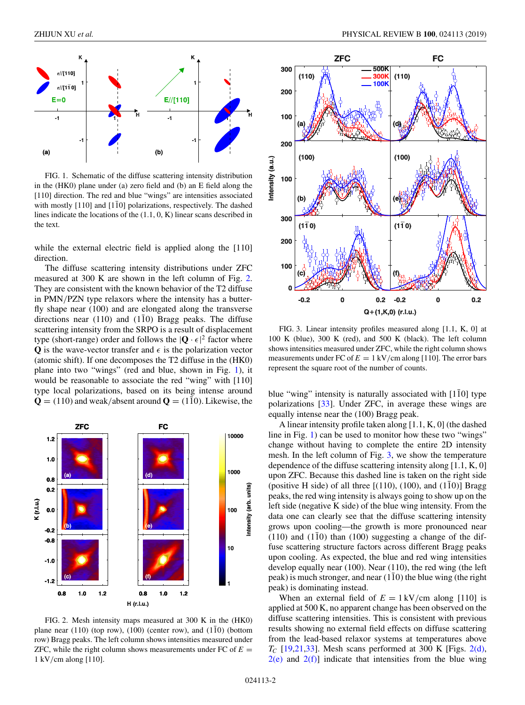<span id="page-3-0"></span>

FIG. 1. Schematic of the diffuse scattering intensity distribution in the (HK0) plane under (a) zero field and (b) an E field along the [110] direction. The red and blue "wings" are intensities associated with mostly  $[110]$  and  $[1\bar{1}0]$  polarizations, respectively. The dashed lines indicate the locations of the (1.1, 0, K) linear scans described in the text.

while the external electric field is applied along the [110] direction.

The diffuse scattering intensity distributions under ZFC measured at 300 K are shown in the left column of Fig. 2. They are consistent with the known behavior of the T2 diffuse in PMN/PZN type relaxors where the intensity has a butterfly shape near (100) and are elongated along the transverse directions near (110) and (110) Bragg peaks. The diffuse scattering intensity from the SRPO is a result of displacement type (short-range) order and follows the  $|\mathbf{Q} \cdot \epsilon|^2$  factor where **Q** is the wave-vector transfer and  $\epsilon$  is the polarization vector (atomic shift). If one decomposes the T2 diffuse in the (HK0) plane into two "wings" (red and blue, shown in Fig. 1), it would be reasonable to associate the red "wing" with [110] type local polarizations, based on its being intense around  $\mathbf{Q} = (110)$  and weak/absent around  $\mathbf{Q} = (1\bar{1}0)$ . Likewise, the



FIG. 2. Mesh intensity maps measured at 300 K in the (HK0) plane near (110) (top row), (100) (center row), and (1 $\overline{1}0$ ) (bottom row) Bragg peaks. The left column shows intensities measured under ZFC, while the right column shows measurements under FC of  $E =$ 1 kV/cm along [110].



FIG. 3. Linear intensity profiles measured along [1.1, K, 0] at 100 K (blue), 300 K (red), and 500 K (black). The left column shows intensities measured under ZFC, while the right column shows measurements under FC of  $E = 1 \text{ kV/cm }$  along [110]. The error bars represent the square root of the number of counts.

blue "wing" intensity is naturally associated with  $[1\overline{1}0]$  type polarizations [\[33\]](#page-6-0). Under ZFC, in average these wings are equally intense near the (100) Bragg peak.

A linear intensity profile taken along [1.1, K, 0] (the dashed line in Fig. 1) can be used to monitor how these two "wings" change without having to complete the entire 2D intensity mesh. In the left column of Fig. 3, we show the temperature dependence of the diffuse scattering intensity along [1.1, K, 0] upon ZFC. Because this dashed line is taken on the right side (positive H side) of all three  $[(110), (100),$  and  $(110)]$  Bragg peaks, the red wing intensity is always going to show up on the left side (negative K side) of the blue wing intensity. From the data one can clearly see that the diffuse scattering intensity grows upon cooling—the growth is more pronounced near  $(110)$  and  $(110)$  than  $(100)$  suggesting a change of the diffuse scattering structure factors across different Bragg peaks upon cooling. As expected, the blue and red wing intensities develop equally near (100). Near (110), the red wing (the left peak) is much stronger, and near  $(110)$  the blue wing (the right peak) is dominating instead.

When an external field of  $E = 1 \text{ kV/cm}$  along [110] is applied at 500 K, no apparent change has been observed on the diffuse scattering intensities. This is consistent with previous results showing no external field effects on diffuse scattering from the lead-based relaxor systems at temperatures above  $T_c$  [\[19,21,33\]](#page-6-0). Mesh scans performed at 300 K [Figs. 2(d),  $2(e)$  and  $2(f)$ ] indicate that intensities from the blue wing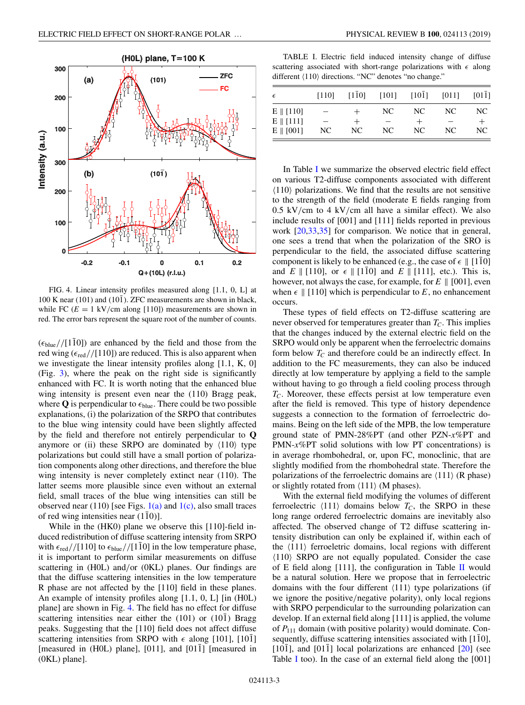<span id="page-4-0"></span>

FIG. 4. Linear intensity profiles measured along [1.1, 0, L] at  $100$  K near (101) and (10 $\overline{1}$ ). ZFC measurements are shown in black, while FC  $(E = 1 \text{ kV/cm along } [110])$  measurements are shown in red. The error bars represent the square root of the number of counts.

 $(\epsilon_{blue}/[1\bar{1}0])$  are enhanced by the field and those from the red wing ( $\epsilon_{\text{red}}$ //[110]) are reduced. This is also apparent when we investigate the linear intensity profiles along [1.1, K, 0] (Fig. [3\)](#page-3-0), where the peak on the right side is significantly enhanced with FC. It is worth noting that the enhanced blue wing intensity is present even near the (110) Bragg peak, where  $Q$  is perpendicular to  $\epsilon_{blue}$ . There could be two possible explanations, (i) the polarization of the SRPO that contributes to the blue wing intensity could have been slightly affected by the field and therefore not entirely perpendicular to **Q** anymore or (ii) these SRPO are dominated by  $\langle 110 \rangle$  type polarizations but could still have a small portion of polarization components along other directions, and therefore the blue wing intensity is never completely extinct near (110). The latter seems more plausible since even without an external field, small traces of the blue wing intensities can still be observed near (110) [see Figs.  $1(a)$  and  $1(c)$ , also small traces of red wing intensities near  $(110)$ ].

While in the (HK0) plane we observe this [110]-field induced redistribution of diffuse scattering intensity from SRPO with  $\epsilon_{\text{red}} / [110]$  to  $\epsilon_{\text{blue}} / [1\bar{1}0]$  in the low temperature phase, it is important to perform similar measurements on diffuse scattering in (H0L) and/or (0KL) planes. Our findings are that the diffuse scattering intensities in the low temperature R phase are not affected by the [110] field in these planes. An example of intensity profiles along [1.1, 0, L] [in (H0L) plane] are shown in Fig. 4. The field has no effect for diffuse scattering intensities near either the  $(101)$  or  $(101)$  Bragg peaks. Suggesting that the [110] field does not affect diffuse scattering intensities from SRPO with  $\epsilon$  along [101], [101] [measured in (H0L) plane], [011], and  $[01\bar{1}]$  [measured in (0KL) plane].

TABLE I. Electric field induced intensity change of diffuse scattering associated with short-range polarizations with  $\epsilon$  along different  $\langle 110 \rangle$  directions. "NC" denotes "no change."

| $\epsilon$          | [110] | $[110]$ | $[101]$ | $[101]$ | [011] | [011]  |
|---------------------|-------|---------|---------|---------|-------|--------|
| $E \parallel [110]$ |       |         | NC.     | NC.     | NC.   | NC.    |
| $E \parallel [111]$ |       | $^+$    | -       |         |       | $^{+}$ |
| $E \parallel [001]$ | NC    | NC.     | NC.     | NC.     | NC.   | NC.    |

In Table I we summarize the observed electric field effect on various T2-diffuse components associated with different  $\langle 110 \rangle$  polarizations. We find that the results are not sensitive to the strength of the field (moderate E fields ranging from  $0.5 \text{ kV/cm}$  to 4 kV/cm all have a similar effect). We also include results of [001] and [111] fields reported in previous work [\[20,33,35\]](#page-6-0) for comparison. We notice that in general, one sees a trend that when the polarization of the SRO is perpendicular to the field, the associated diffuse scattering component is likely to be enhanced (e.g., the case of  $\epsilon \parallel [1\bar{1}0]$ and  $E \parallel [110]$ , or  $\epsilon \parallel [1\bar{1}0]$  and  $E \parallel [111]$ , etc.). This is, however, not always the case, for example, for  $E \parallel [001]$ , even when  $\epsilon \parallel [110]$  which is perpendicular to *E*, no enhancement occurs.

These types of field effects on T2-diffuse scattering are never observed for temperatures greater than  $T_C$ . This implies that the changes induced by the external electric field on the SRPO would only be apparent when the ferroelectric domains form below  $T_c$  and therefore could be an indirectly effect. In addition to the FC measurements, they can also be induced directly at low temperature by applying a field to the sample without having to go through a field cooling process through *TC*. Moreover, these effects persist at low temperature even after the field is removed. This type of history dependence suggests a connection to the formation of ferroelectric domains. Being on the left side of the MPB, the low temperature ground state of PMN-28%PT (and other PZN-*x*%PT and PMN-*x*%PT solid solutions with low PT concentrations) is in average rhombohedral, or, upon FC, monoclinic, that are slightly modified from the rhombohedral state. Therefore the polarizations of the ferroelectric domains are  $\langle 111 \rangle$  (R phase) or slightly rotated from  $\langle 111 \rangle$  (M phases).

With the external field modifying the volumes of different ferroelectric  $\langle 111 \rangle$  domains below  $T_C$ , the SRPO in these long range ordered ferroelectric domains are inevitably also affected. The observed change of T2 diffuse scattering intensity distribution can only be explained if, within each of the  $\langle 111 \rangle$  ferroeletric domains, local regions with different -110 SRPO are not equally populated. Consider the case of E field along [111], the configuration in Table  $II$  would be a natural solution. Here we propose that in ferroelectric domains with the four different  $\langle 111 \rangle$  type polarizations (if we ignore the positive/negative polarity), only local regions with SRPO perpendicular to the surrounding polarization can develop. If an external field along [111] is applied, the volume of *P*<sup>111</sup> domain (with positive polarity) would dominate. Consequently, diffuse scattering intensities associated with [110],  $[10\overline{1}]$ , and  $[01\overline{1}]$  local polarizations are enhanced  $[20]$  $[20]$  (see Table I too). In the case of an external field along the [001]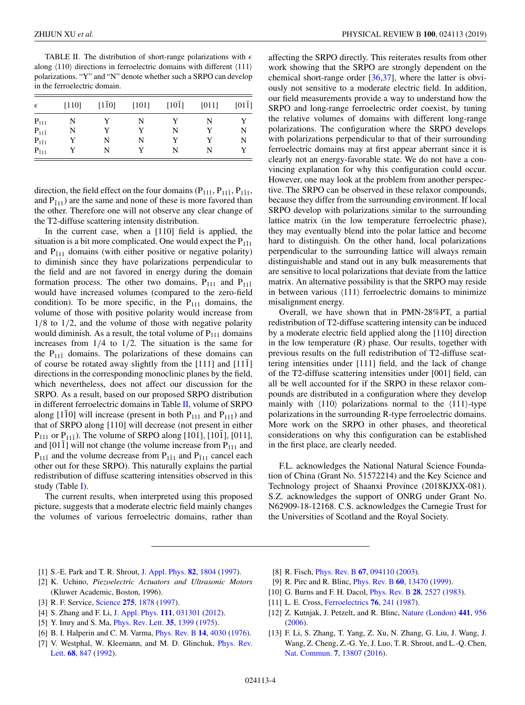<span id="page-5-0"></span>TABLE II. The distribution of short-range polarizations with  $\epsilon$ along  $\langle 110 \rangle$  directions in ferroelectric domains with different  $\langle 111 \rangle$ polarizations. "Y" and "N" denote whether such a SRPO can develop in the ferroelectric domain.

| $\epsilon$      | $[110]$ | $[1\bar{1}0]$ | $[101]$ | $[10\bar{1}]$ | [011] | $[01\overline{1}]$ |
|-----------------|---------|---------------|---------|---------------|-------|--------------------|
| $P_{111}$       | N       | Y             | N       | Y             | N     |                    |
| $P_{11\bar{1}}$ | N       | Y             | Y       | N             |       | N                  |
| $P_{1\bar{1}1}$ |         | N             | N       |               |       | N                  |
| $P_{\bar{1}11}$ |         | N             |         | N             | N     |                    |

direction, the field effect on the four domains ( $P_{111}$ ,  $P_{111}$ ,  $P_{111}$ , and  $P_{111}$ ) are the same and none of these is more favored than the other. Therefore one will not observe any clear change of the T2-diffuse scattering intensity distribution.

In the current case, when a [110] field is applied, the situation is a bit more complicated. One would expect the  $P_{111}$ and  $P_{111}$  domains (with either positive or negative polarity) to diminish since they have polarizations perpendicular to the field and are not favored in energy during the domain formation process. The other two domains,  $P_{111}$  and  $P_{11\bar{1}}$ would have increased volumes (compared to the zero-field condition). To be more specific, in the  $P_{111}$  domains, the volume of those with positive polarity would increase from  $1/8$  to  $1/2$ , and the volume of those with negative polarity would diminish. As a result, the total volume of  $P_{111}$  domains increases from  $1/4$  to  $1/2$ . The situation is the same for the  $P_{11\bar{1}}$  domains. The polarizations of these domains can of course be rotated away slightly from the  $[111]$  and  $[11\bar{1}]$ directions in the corresponding monoclinic planes by the field, which nevertheless, does not affect our discussion for the SRPO. As a result, based on our proposed SRPO distribution in different ferroelectric domains in Table II, volume of SRPO along [1 $\overline{1}0$ ] will increase (present in both P<sub>111</sub> and P<sub>11 $\overline{1}$ </sub>) and that of SRPO along [110] will decrease (not present in either  $P_{111}$  or  $P_{11\bar{1}}$ ). The volume of SRPO along [101], [101], [011], and  $[01\bar{1}]$  will not change (the volume increase from  $P_{111}$  and  $P_{11\bar{1}}$  and the volume decrease from  $P_{1\bar{1}1}$  and  $P_{\bar{1}11}$  cancel each other out for these SRPO). This naturally explains the partial redistribution of diffuse scattering intensities observed in this study (Table [I\)](#page-4-0).

The current results, when interpreted using this proposed picture, suggests that a moderate electric field mainly changes the volumes of various ferroelectric domains, rather than affecting the SRPO directly. This reiterates results from other work showing that the SRPO are strongly dependent on the chemical short-range order [\[36,37\]](#page-6-0), where the latter is obviously not sensitive to a moderate electric field. In addition, our field measurements provide a way to understand how the SRPO and long-range ferroelectric order coexist, by tuning the relative volumes of domains with different long-range polarizations. The configuration where the SRPO develops with polarizations perpendicular to that of their surrounding ferroelectric domains may at first appear aberrant since it is clearly not an energy-favorable state. We do not have a convincing explanation for why this configuration could occur. However, one may look at the problem from another perspective. The SRPO can be observed in these relaxor compounds, because they differ from the surrounding environment. If local SRPO develop with polarizations similar to the surrounding lattice matrix (in the low temperature ferroelectric phase), they may eventually blend into the polar lattice and become hard to distinguish. On the other hand, local polarizations perpendicular to the surrounding lattice will always remain distinguishable and stand out in any bulk measurements that are sensitive to local polarizations that deviate from the lattice matrix. An alternative possibility is that the SRPO may reside in between various  $\langle 111 \rangle$  ferroelectric domains to minimize misalignment energy.

Overall, we have shown that in PMN-28%PT, a partial redistribution of T2-diffuse scattering intensity can be induced by a moderate electric field applied along the [110] direction in the low temperature (R) phase. Our results, together with previous results on the full redistribution of T2-diffuse scattering intensities under [111] field, and the lack of change of the T2-diffuse scattering intensities under [001] field, can all be well accounted for if the SRPO in these relaxor compounds are distributed in a configuration where they develop mainly with  $\langle 110 \rangle$  polarizations normal to the  $\langle 111 \rangle$ -type polarizations in the surrounding R-type ferroelectric domains. More work on the SRPO in other phases, and theoretical considerations on why this configuration can be established in the first place, are clearly needed.

F.L. acknowledges the National Natural Science Foundation of China (Grant No. 51572214) and the Key Science and Technology project of Shaanxi Province (2018KJXX-081). S.Z. acknowledges the support of ONRG under Grant No. N62909-18-12168. C.S. acknowledges the Carnegie Trust for the Universities of Scotland and the Royal Society.

- [1] S.-E. Park and T. R. Shrout, [J. Appl. Phys.](https://doi.org/10.1063/1.365983) **[82](https://doi.org/10.1063/1.365983)**, [1804](https://doi.org/10.1063/1.365983) [\(1997\)](https://doi.org/10.1063/1.365983).
- [2] K. Uchino, *Piezoelectric Actuators and Ultrasonic Motors* (Kluwer Academic, Boston, 1996).
- [3] R. F. Service, [Science](https://doi.org/10.1126/science.275.5308.1878) **[275](https://doi.org/10.1126/science.275.5308.1878)**, [1878](https://doi.org/10.1126/science.275.5308.1878) [\(1997\)](https://doi.org/10.1126/science.275.5308.1878).
- [4] S. Zhang and F. Li, [J. Appl. Phys.](https://doi.org/10.1063/1.3679521) **[111](https://doi.org/10.1063/1.3679521)**, [031301](https://doi.org/10.1063/1.3679521) [\(2012\)](https://doi.org/10.1063/1.3679521).
- [5] Y. Imry and S. Ma, [Phys. Rev. Lett.](https://doi.org/10.1103/PhysRevLett.35.1399) **[35](https://doi.org/10.1103/PhysRevLett.35.1399)**, [1399](https://doi.org/10.1103/PhysRevLett.35.1399) [\(1975\)](https://doi.org/10.1103/PhysRevLett.35.1399).
- [6] B. I. Halperin and C. M. Varma, [Phys. Rev. B](https://doi.org/10.1103/PhysRevB.14.4030) **[14](https://doi.org/10.1103/PhysRevB.14.4030)**, [4030](https://doi.org/10.1103/PhysRevB.14.4030) [\(1976\)](https://doi.org/10.1103/PhysRevB.14.4030).
- [7] [V. Westphal, W. Kleemann, and M. D. Glinchuk,](https://doi.org/10.1103/PhysRevLett.68.847) *Phys. Rev.* Lett. **[68](https://doi.org/10.1103/PhysRevLett.68.847)**, [847](https://doi.org/10.1103/PhysRevLett.68.847) [\(1992\)](https://doi.org/10.1103/PhysRevLett.68.847).
- [8] R. Fisch, [Phys. Rev. B](https://doi.org/10.1103/PhysRevB.67.094110) **[67](https://doi.org/10.1103/PhysRevB.67.094110)**, [094110](https://doi.org/10.1103/PhysRevB.67.094110) [\(2003\)](https://doi.org/10.1103/PhysRevB.67.094110).
- [9] R. Pirc and R. Blinc, [Phys. Rev. B](https://doi.org/10.1103/PhysRevB.60.13470) **[60](https://doi.org/10.1103/PhysRevB.60.13470)**, [13470](https://doi.org/10.1103/PhysRevB.60.13470) [\(1999\)](https://doi.org/10.1103/PhysRevB.60.13470).
- [10] G. Burns and F. H. Dacol, [Phys. Rev. B](https://doi.org/10.1103/PhysRevB.28.2527) **[28](https://doi.org/10.1103/PhysRevB.28.2527)**, [2527](https://doi.org/10.1103/PhysRevB.28.2527) [\(1983\)](https://doi.org/10.1103/PhysRevB.28.2527).
- [11] L. E. Cross, [Ferroelectrics](https://doi.org/10.1080/00150198708016945) **[76](https://doi.org/10.1080/00150198708016945)**, [241](https://doi.org/10.1080/00150198708016945) [\(1987\)](https://doi.org/10.1080/00150198708016945).
- [12] Z. Kutnjak, J. Petzelt, and R. Blinc, [Nature \(London\)](https://doi.org/10.1038/nature04854) **[441](https://doi.org/10.1038/nature04854)**, [956](https://doi.org/10.1038/nature04854) [\(2006\)](https://doi.org/10.1038/nature04854).
- [13] F. Li, S. Zhang, T. Yang, Z. Xu, N. Zhang, G. Liu, J. Wang, J. Wang, Z. Cheng, Z.-G. Ye, J. Luo, T. R. Shrout, and L.-Q. Chen, [Nat. Commun.](https://doi.org/10.1038/ncomms13807) **[7](https://doi.org/10.1038/ncomms13807)**, [13807](https://doi.org/10.1038/ncomms13807) [\(2016\)](https://doi.org/10.1038/ncomms13807).